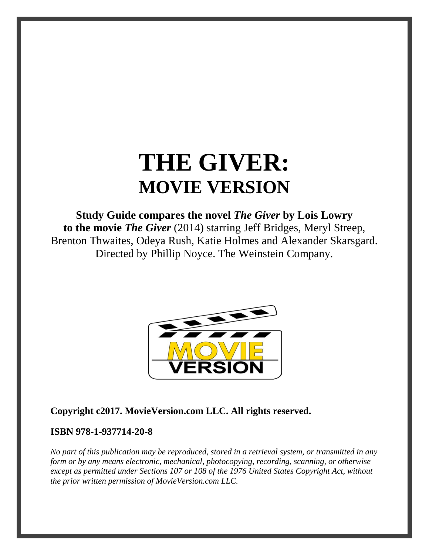# **THE GIVER: MOVIE VERSION**

# **Study Guide compares the novel** *The Giver* **by Lois Lowry**

**to the movie** *The Giver* (2014) starring Jeff Bridges, Meryl Streep, Brenton Thwaites, Odeya Rush, Katie Holmes and Alexander Skarsgard. Directed by Phillip Noyce. The Weinstein Company.



#### **Copyright c2017. MovieVersion.com LLC. All rights reserved.**

#### **ISBN 978-1-937714-20-8**

*No part of this publication may be reproduced, stored in a retrieval system, or transmitted in any form or by any means electronic, mechanical, photocopying, recording, scanning, or otherwise except as permitted under Sections 107 or 108 of the 1976 United States Copyright Act, without the prior written permission of MovieVersion.com LLC.*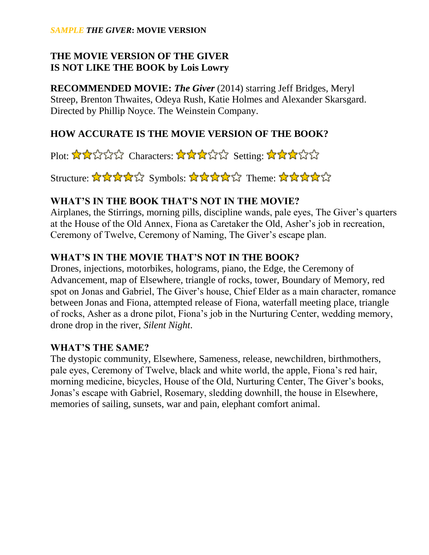#### *SAMPLE THE GIVER***: MOVIE VERSION**

### **THE MOVIE VERSION OF THE GIVER IS NOT LIKE THE BOOK by Lois Lowry**

**RECOMMENDED MOVIE:** *The Giver* (2014) starring Jeff Bridges, Meryl Streep, Brenton Thwaites, Odeya Rush, Katie Holmes and Alexander Skarsgard. Directed by Phillip Noyce. The Weinstein Company.

#### **HOW ACCURATE IS THE MOVIE VERSION OF THE BOOK?**

Plot:  $\star\star\star\star\star\star$  Characters:  $\star\star\star\star\star$  Setting:  $\star\star\star\star\star$ 

Structure: ☆☆☆☆☆ Symbols: ☆☆☆☆☆ Theme: ☆☆☆☆☆

#### **WHAT'S IN THE BOOK THAT'S NOT IN THE MOVIE?**

Airplanes, the Stirrings, morning pills, discipline wands, pale eyes, The Giver's quarters at the House of the Old Annex, Fiona as Caretaker the Old, Asher's job in recreation, Ceremony of Twelve, Ceremony of Naming, The Giver's escape plan.

#### **WHAT'S IN THE MOVIE THAT'S NOT IN THE BOOK?**

Drones, injections, motorbikes, holograms, piano, the Edge, the Ceremony of Advancement, map of Elsewhere, triangle of rocks, tower, Boundary of Memory, red spot on Jonas and Gabriel, The Giver's house, Chief Elder as a main character, romance between Jonas and Fiona, attempted release of Fiona, waterfall meeting place, triangle of rocks, Asher as a drone pilot, Fiona's job in the Nurturing Center, wedding memory, drone drop in the river, *Silent Night*.

#### **WHAT'S THE SAME?**

The dystopic community, Elsewhere, Sameness, release, newchildren, birthmothers, pale eyes, Ceremony of Twelve, black and white world, the apple, Fiona's red hair, morning medicine, bicycles, House of the Old, Nurturing Center, The Giver's books, Jonas's escape with Gabriel, Rosemary, sledding downhill, the house in Elsewhere, memories of sailing, sunsets, war and pain, elephant comfort animal.